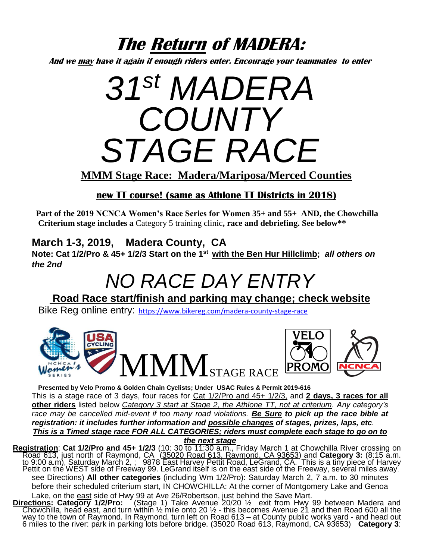## **The Return of MADERA:**

**And we may have it again if enough riders enter. Encourage your teammates to enter**

# *31 st MADERA COUNTY STAGE RACE*

**MMM Stage Race: Madera/Mariposa/Merced Counties**

### **new TT course! (same as Athlone TT Districts in 2018)**

**Part of the 2019 NCNCA Women's Race Series for Women 35+ and 55+ AND, the Chowchilla Criterium stage includes a** Category 5 training clinic**, race and debriefing. See below\*\***

## **March 1-3, 2019, Madera County, CA**

**Note: Cat 1/2/Pro & 45+ 1/2/3 Start on the 1st with the Ben Hur Hillclimb;** *all others on the 2nd*

## *NO RACE DAY ENTRY*

**Road Race start/finish and parking may change; check website**

Bike Reg online entry: <https://www.bikereg.com/madera-county-stage-race>



**Presented by Velo Promo & Golden Chain Cyclists; Under USAC Rules & Permit 2019-616** This is a stage race of 3 days, four races for Cat 1/2/Pro and 45+ 1/2/3, and **2 days, 3 races for all other riders** listed below *Category 3 start at Stage 2, the Athlone TT, not at criterium. Any category's race may be cancelled mid-event if too many road violations. Be Sure to pick up the race bible at registration: it includes further information and possible changes of stages, prizes, laps, etc. This is a Timed stage race FOR ALL CATEGORIES; riders must complete each stage to go on to* 

*the next stage*

**Registration**: **Cat 1/2/Pro and 45+ 1/2/3** (10: 30 to 11:30 a.m., Friday March 1 at Chowchilla River crossing on Road 613, just north of Raymond, CA (35020 Road 613, Raymond, CA 93653) and **Category 3:** (8:15 a.m. to 9:00 a.m), Saturday March 2, ; 9878 East Harvey Pettit Road, LeGrand, CA. This is a tiny piece of Harvey Pettit on the WEST side of Freeway 99. LeGrand itself is on the east side of the Freeway, several miles away. see Directions) **All other categories** (including Wm 1/2/Pro): Saturday March 2, 7 a.m. to 30 minutes before their scheduled criterium start, IN CHOWCHILLA: At the corner of Montgomery Lake and Genoa Lake, on the east side of Hwy 99 at Ave 26/Robertson, just behind the Save Mart.

**Directions: Category 1/2/Pro:** (Stage 1) Take Avenue 20/20 ½ exit from Hwy 99 between Madera and Chowchilla, head east, and turn within 1/2 mile onto 20 1/2 - this becomes Avenue 21 and then Road 600 all the way to the town of Raymond. In Raymond, turn left on Road 613 – at County public works yard - and head out 6 miles to the river: park in parking lots before bridge. (35020 Road 613, Raymond, CA 93653) **Category 3**: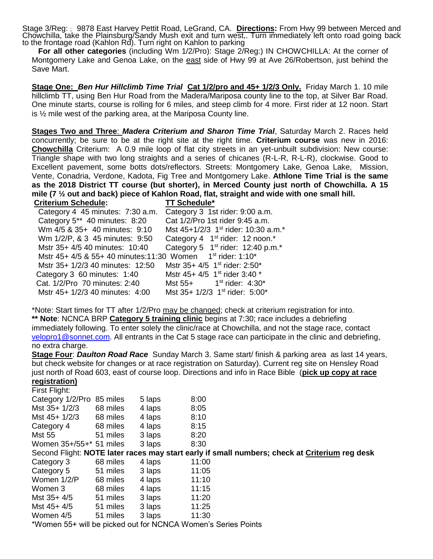Stage 3/Reg: ; 9878 East Harvey Pettit Road, LeGrand, CA. **Directions:** From Hwy 99 between Merced and Chowchilla, take the Plainsburg/Sandy Mush exit and turn west,. Turn immediately left onto road going back to the frontage road (Kahlon Rd). Turn right on Kahlon to parking

 **For all other categories** (including Wm 1/2/Pro): Stage 2/Reg:) IN CHOWCHILLA: At the corner of Montgomery Lake and Genoa Lake, on the east side of Hwy 99 at Ave 26/Robertson, just behind the Save Mart.

**Stage One:** *Ben Hur Hillclimb Time Trial* **Cat 1/2/pro and 45+ 1/2/3 Only.** Friday March 1. 10 mile hillclimb TT, using Ben Hur Road from the Madera/Mariposa county line to the top, at Silver Bar Road. One minute starts, course is rolling for 6 miles, and steep climb for 4 more. First rider at 12 noon. Start is ½ mile west of the parking area, at the Mariposa County line.

**Stages Two and Three**: *Madera Criterium and Sharon Time Trial*, Saturday March 2. Races held concurrently; be sure to be at the right site at the right time. **Criterium course** was new in 2016: **Chowchilla** Criterium: A 0.9 mile loop of flat city streets in an yet-unbuilt subdivision: New course: Triangle shape with two long straights and a series of chicanes (R-L-R, R-L-R), clockwise. Good to Excellent pavement, some botts dots/reflectors. Streets: Montgomery Lake, Genoa Lake, Mission, Vente, Conadria, Verdone, Kadota, Fig Tree and Montgomery Lake. **Athlone Time Trial is the same as the 2018 District TT course (but shorter), in Merced County just north of Chowchilla. A 15**  mile (7 <sup>1</sup>/<sub>2</sub> out and back) piece of Kahlon Road, flat, straight and wide with one small hill.

| <b>Criterium Schedule:</b>                                                          | <b>TT Schedule*</b>                                     |
|-------------------------------------------------------------------------------------|---------------------------------------------------------|
| Category 4 45 minutes: 7:30 a.m.                                                    | Category 3 1st rider: 9:00 a.m.                         |
| Category 5** 40 minutes: 8:20                                                       | Cat 1/2/Pro 1st rider 9:45 a.m.                         |
| Wm 4/5 & 35+ 40 minutes: 9:10                                                       | Mst 45+1/2/3 1 <sup>st</sup> rider: 10:30 a.m.*         |
| Wm 1/2/P, & 3 45 minutes: 9:50                                                      | Category 4 1 <sup>st</sup> rider: 12 noon. <sup>*</sup> |
| Mstr 35+ 4/5 40 minutes: 10:40                                                      | Category 5 $1st$ rider: 12:40 p.m. <sup>*</sup>         |
| Mstr 45+ 4/5 & 55+ 40 minutes: 11:30 Women 1 <sup>st</sup> rider: 1:10 <sup>*</sup> |                                                         |
| Mstr 35+ 1/2/3 40 minutes: 12:50                                                    | Mstr 35+ 4/5 1 <sup>st</sup> rider: 2:50 <sup>*</sup>   |
| Category 3 60 minutes: 1:40                                                         | Mstr 45+ 4/5 1 <sup>st</sup> rider 3:40 *               |
| Cat. 1/2/Pro 70 minutes: 2:40                                                       | Mst $55+$ 1st rider: $4:30^*$                           |
| Mstr 45+ 1/2/3 40 minutes: 4:00                                                     | Mst 35+ 1/2/3 1 <sup>st</sup> rider: 5:00*              |

\*Note: Start times for TT after 1/2/Pro may be changed; check at criterium registration for into. **\*\* Note**: NCNCA BRP **Category 5 training clinic** begins at 7:30; race includes a debriefing immediately following. To enter solely the clinic/race at Chowchilla, and not the stage race, contact [velopro1@sonnet.com.](mailto:velopro1@sonnet.com) All entrants in the Cat 5 stage race can participate in the clinic and debriefing, no extra charge.

#### **Stage Four**: *Daulton Road Race* Sunday March 3. Same start/ finish & parking area as last 14 years, but check website for changes or at race registration on Saturday). Current reg site on Hensley Road just north of Road 603, east of course loop. Directions and info in Race Bible (**pick up copy at race**

#### **registration)**  $F$ isat  $F$ light:

| FIISL FIIGHL                                                  |          |        |                                                                                               |  |  |  |  |  |
|---------------------------------------------------------------|----------|--------|-----------------------------------------------------------------------------------------------|--|--|--|--|--|
| Category 1/2/Pro 85 miles                                     |          | 5 laps | 8:00                                                                                          |  |  |  |  |  |
| Mst 35+ 1/2/3                                                 | 68 miles | 4 laps | 8:05                                                                                          |  |  |  |  |  |
| Mst 45+ 1/2/3                                                 | 68 miles | 4 laps | 8:10                                                                                          |  |  |  |  |  |
| Category 4                                                    | 68 miles | 4 laps | 8:15                                                                                          |  |  |  |  |  |
| Mst 55                                                        | 51 miles | 3 laps | 8:20                                                                                          |  |  |  |  |  |
| Women 35+/55+* 51 miles                                       |          | 3 laps | 8:30                                                                                          |  |  |  |  |  |
|                                                               |          |        | Second Flight: NOTE later races may start early if small numbers; check at Criterium reg desk |  |  |  |  |  |
| Category 3                                                    | 68 miles | 4 laps | 11:00                                                                                         |  |  |  |  |  |
| Category 5                                                    | 51 miles | 3 laps | 11:05                                                                                         |  |  |  |  |  |
| Women 1/2/P                                                   | 68 miles | 4 laps | 11:10                                                                                         |  |  |  |  |  |
| Women 3                                                       | 68 miles | 4 laps | 11:15                                                                                         |  |  |  |  |  |
| Mst 35+ 4/5                                                   | 51 miles | 3 laps | 11:20                                                                                         |  |  |  |  |  |
| Mst $45+4/5$                                                  | 51 miles | 3 laps | 11:25                                                                                         |  |  |  |  |  |
| Women 4/5                                                     | 51 miles | 3 laps | 11:30                                                                                         |  |  |  |  |  |
| *Women 55+ will be picked out for NCNCA Women's Series Points |          |        |                                                                                               |  |  |  |  |  |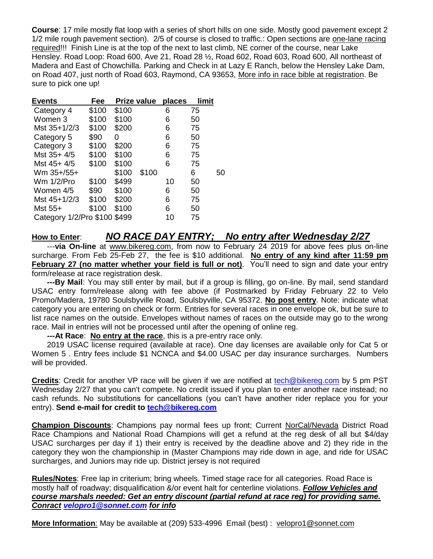**Course**: 17 mile mostly flat loop with a series of short hills on one side. Mostly good pavement except 2 1/2 mile rough pavement section). 2/5 of course is closed to traffic.: Open sections are one-lane racing required!!! Finish Line is at the top of the next to last climb, NE corner of the course, near Lake Hensley. Road Loop: Road 600, Ave 21, Road 28 ½, Road 602, Road 603, Road 600, All northeast of Madera and East of Chowchilla. Parking and Check in at Lazy E Ranch, below the Hensley Lake Dam, on Road 407, just north of Road 603, Raymond, CA 93653, More info in race bible at registration. Be sure to pick one up!

| <b>Events</b>                | Fee   |       | Prize value | places | limit |    |
|------------------------------|-------|-------|-------------|--------|-------|----|
| Category 4                   | \$100 | \$100 |             | 6      | 75    |    |
| Women 3                      | \$100 | \$100 |             | 6      | 50    |    |
| Mst 35+1/2/3                 | \$100 | \$200 |             | 6      | 75    |    |
| Category 5                   | \$90  | 0     |             | 6      | 50    |    |
| Category 3                   | \$100 | \$200 |             | 6      | 75    |    |
| Mst 35+ 4/5                  | \$100 | \$100 |             | 6      | 75    |    |
| Mst 45+ 4/5                  | \$100 | \$100 |             | 6      | 75    |    |
| Wm 35+/55+                   |       | \$100 | \$100       |        | 6     | 50 |
| Wm 1/2/Pro                   | \$100 | \$499 |             | 10     | 50    |    |
| Women 4/5                    | \$90  | \$100 |             | 6      | 50    |    |
| Mst 45+1/2/3                 | \$100 | \$200 |             | 6      | 75    |    |
| Mst 55+                      | \$100 | \$100 |             | 6      | 50    |    |
| Category 1/2/Pro \$100 \$499 |       |       |             | 10     | 75    |    |

#### **How to Enter**: *NO RACE DAY ENTRY; No entry after Wednesday 2/27*

 ---**via On-line** at [www.bikereg.com,](http://www.sportsbaseonline.com/) from now to February 24 2019 for above fees plus on-line surcharge. From Feb 25-Feb 27, the fee is \$10 additional. **No entry of any kind after 11:59 pm February 27 (no matter whether your field is full or not)**. You'll need to sign and date your entry form/release at race registration desk.

 **---By Mail**: You may still enter by mail, but if a group is filling, go on-line. By mail, send standard USAC entry form/release along with fee above (if Postmarked by Friday February 22 to Velo Promo/Madera, 19780 Soulsbyville Road, Soulsbyville, CA 95372. **No post entry**. Note: indicate what category you are entering on check or form. Entries for several races in one envelope ok, but be sure to list race names on the outside. Envelopes without names of races on the outside may go to the wrong race. Mail in entries will not be processed until after the opening of online reg.

**---At Race**: **No entry at the race**, this is a pre-entry race only.

 2019 USAC license required (available at race). One day licenses are available only for Cat 5 or Women 5 . Entry fees include \$1 NCNCA and \$4.00 USAC per day insurance surcharges. Numbers will be provided.

Credits: Credit for another VP race will be given if we are notified at [tech@bikereg.com](mailto:tech@bikereg.com) by 5 pm PST Wednesday 2/27 that you can't compete. No credit issued if you plan to enter another race instead; no cash refunds. No substitutions for cancellations (you can't have another rider replace you for your entry). Send e-mail for credit to **tech@bikereg.com** 

**Champion Discounts**: Champions pay normal fees up front; Current NorCal/Nevada District Road Race Champions and National Road Champions will get a refund at the reg desk of all but \$4/day USAC surcharges per day if 1) their entry is received by the deadline above and 2) they ride in the category they won the championship in (Master Champions may ride down in age, and ride for USAC surcharges, and Juniors may ride up. District jersey is not required

**Rules/Notes**: Free lap in criterium; bring wheels. Timed stage race for all categories. Road Race is mostly half of roadway; disqualification &/or event halt for centerline violations. *Follow Vehicles and course marshals needed: Get an entry discount (partial refund at race reg) for providing same. Conract [velopro1@sonnet.com](mailto:velopro1@sonnet.com) for info*

More Information: May be available at (209) 533-4996 Email (best) : [velopro1@sonnet.com](mailto:velopro1@sonnet.com)